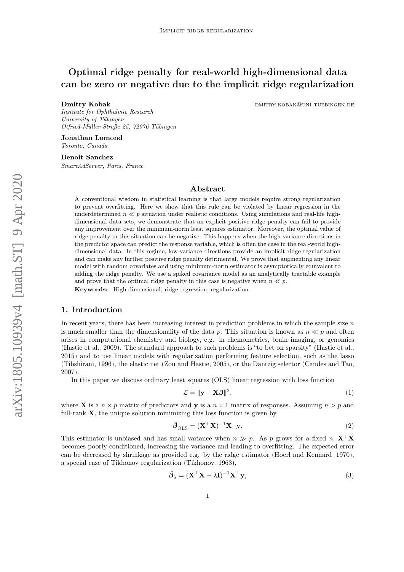# Optimal ridge penalty for real-world high-dimensional data can be zero or negative due to the implicit ridge regularization

Dmitry Kobak dem and the boundary of the boundary experience of the boundary. And the boundary experience of the boundary experience of the boundary experience of the boundary experience of the boundary experience of the b

Institute for Ophthalmic Research University of Tübingen Otfried-Müller-Straße 25, 72076 Tübingen

Jonathan Lomond Toronto, Canada

Benoit Sanchez SmartAdServer, Paris, France

# Abstract

A conventional wisdom in statistical learning is that large models require strong regularization to prevent overfitting. Here we show that this rule can be violated by linear regression in the underdetermined  $n \ll p$  situation under realistic conditions. Using simulations and real-life highdimensional data sets, we demonstrate that an explicit positive ridge penalty can fail to provide any improvement over the minimum-norm least squares estimator. Moreover, the optimal value of ridge penalty in this situation can be negative. This happens when the high-variance directions in the predictor space can predict the response variable, which is often the case in the real-world highdimensional data. In this regime, low-variance directions provide an implicit ridge regularization and can make any further positive ridge penalty detrimental. We prove that augmenting any linear model with random covariates and using minimum-norm estimator is asymptotically equivalent to adding the ridge penalty. We use a spiked covariance model as an analytically tractable example and prove that the optimal ridge penalty in this case is negative when  $n \ll p$ .

Keywords: High-dimensional, ridge regression, regularization

## 1. Introduction

In recent years, there has been increasing interest in prediction problems in which the sample size  $n$ is much smaller than the dimensionality of the data p. This situation is known as  $n \ll p$  and often arises in computational chemistry and biology, e.g. in chemometrics, brain imaging, or genomics [\(Hastie et al., 2009\)](#page-13-0). The standard approach to such problems is "to bet on sparsity" [\(Hastie et al.,](#page-13-1) [2015\)](#page-13-1) and to use linear models with regularization performing feature selection, such as the lasso [\(Tibshirani, 1996\)](#page-14-0), the elastic net [\(Zou and Hastie, 2005\)](#page-14-1), or the Dantzig selector [\(Candes and Tao,](#page-12-0) [2007\)](#page-12-0).

In this paper we discuss ordinary least squares (OLS) linear regression with loss function

$$
\mathcal{L} = \|\mathbf{y} - \mathbf{X}\boldsymbol{\beta}\|^2,\tag{1}
$$

where **X** is a  $n \times p$  matrix of predictors and **y** is a  $n \times 1$  matrix of responses. Assuming  $n > p$  and full-rank  $X$ , the unique solution minimizing this loss function is given by

$$
\hat{\boldsymbol{\beta}}_{\text{OLS}} = (\mathbf{X}^\top \mathbf{X})^{-1} \mathbf{X}^\top \mathbf{y}.
$$
\n(2)

This estimator is unbiased and has small variance when  $n \gg p$ . As p grows for a fixed n,  $X^{\top}X$ becomes poorly conditioned, increasing the variance and leading to overfitting. The expected error can be decreased by shrinkage as provided e.g. by the ridge estimator [\(Hoerl and Kennard, 1970\)](#page-13-2), a special case of Tikhonov regularization [\(Tikhonov, 1963\)](#page-14-2),

$$
\hat{\boldsymbol{\beta}}_{\lambda} = (\mathbf{X}^{\top}\mathbf{X} + \lambda \mathbf{I})^{-1}\mathbf{X}^{\top}\mathbf{y},\tag{3}
$$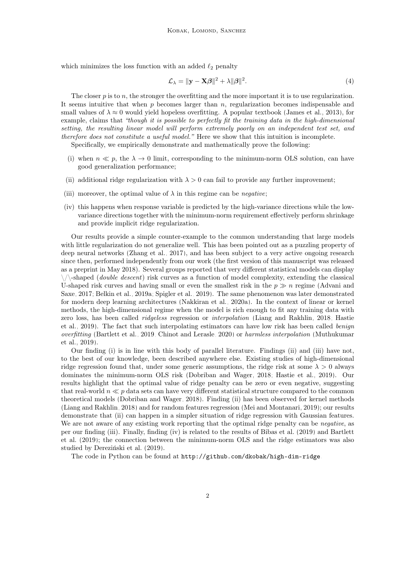which minimizes the loss function with an added  $\ell_2$  penalty

$$
\mathcal{L}_{\lambda} = \|\mathbf{y} - \mathbf{X}\boldsymbol{\beta}\|^2 + \lambda \|\boldsymbol{\beta}\|^2. \tag{4}
$$

The closer p is to n, the stronger the overfitting and the more important it is to use regularization. It seems intuitive that when  $p$  becomes larger than  $n$ , regularization becomes indispensable and small values of  $\lambda \approx 0$  would yield hopeless overfitting. A popular textbook [\(James et al., 2013\)](#page-13-3), for example, claims that "though it is possible to perfectly fit the training data in the high-dimensional setting, the resulting linear model will perform extremely poorly on an independent test set, and therefore does not constitute a useful model." Here we show that this intuition is incomplete.

Specifically, we empirically demonstrate and mathematically prove the following:

- (i) when  $n \ll p$ , the  $\lambda \to 0$  limit, corresponding to the minimum-norm OLS solution, can have good generalization performance;
- (ii) additional ridge regularization with  $\lambda > 0$  can fail to provide any further improvement;
- (iii) moreover, the optimal value of  $\lambda$  in this regime can be *negative*;
- (iv) this happens when response variable is predicted by the high-variance directions while the lowvariance directions together with the minimum-norm requirement effectively perform shrinkage and provide implicit ridge regularization.

Our results provide a simple counter-example to the common understanding that large models with little regularization do not generalize well. This has been pointed out as a puzzling property of deep neural networks [\(Zhang et al., 2017\)](#page-14-3), and has been subject to a very active ongoing research since then, performed independently from our work (the first version of this manuscript was released as a preprint in May 2018). Several groups reported that very different statistical models can display  $\setminus/\mathcal{S}$ -shaped (*double descent*) risk curves as a function of model complexity, extending the classical U-shaped risk curves and having small or even the smallest risk in the  $p \gg n$  regime [\(Advani and](#page-12-1) [Saxe, 2017;](#page-12-1) [Belkin et al., 2019a;](#page-12-2) [Spigler et al., 2019\)](#page-14-4). The same phenomenon was later demonstrated for modern deep learning architectures [\(Nakkiran et al., 2020a\)](#page-13-4). In the context of linear or kernel methods, the high-dimensional regime when the model is rich enough to fit any training data with zero loss, has been called ridgeless regression or interpolation [\(Liang and Rakhlin, 2018;](#page-13-5) [Hastie](#page-13-6) [et al., 2019\)](#page-13-6). The fact that such interpolating estimators can have low risk has been called benign overfitting [\(Bartlett et al., 2019;](#page-12-3) [Chinot and Lerasle, 2020\)](#page-13-7) or harmless interpolation [\(Muthukumar](#page-13-8) [et al., 2019\)](#page-13-8).

Our finding (i) is in line with this body of parallel literature. Findings (ii) and (iii) have not, to the best of our knowledge, been described anywhere else. Existing studies of high-dimensional ridge regression found that, under some generic assumptions, the ridge risk at some  $\lambda > 0$  always dominates the minimum-norm OLS risk [\(Dobriban and Wager, 2018;](#page-13-9) [Hastie et al., 2019\)](#page-13-6). Our results highlight that the optimal value of ridge penalty can be zero or even negative, suggesting that real-world  $n \ll p$  data sets can have very different statistical structure compared to the common theoretical models [\(Dobriban and Wager, 2018\)](#page-13-9). Finding (ii) has been observed for kernel methods [\(Liang and Rakhlin, 2018\)](#page-13-5) and for random features regression [\(Mei and Montanari, 2019\)](#page-13-10); our results demonstrate that (ii) can happen in a simpler situation of ridge regression with Gaussian features. We are not aware of any existing work reporting that the optimal ridge penalty can be *negative*, as per our finding (iii). Finally, finding (iv) is related to the results of [Bibas et al.](#page-12-4) [\(2019\)](#page-12-4) and [Bartlett](#page-12-3) [et al.](#page-12-3) [\(2019\)](#page-12-3); the connection between the minimum-norm OLS and the ridge estimators was also studied by [Dereziński et al.](#page-13-11) [\(2019\)](#page-13-11).

The code in Python can be found at <http://github.com/dkobak/high-dim-ridge>.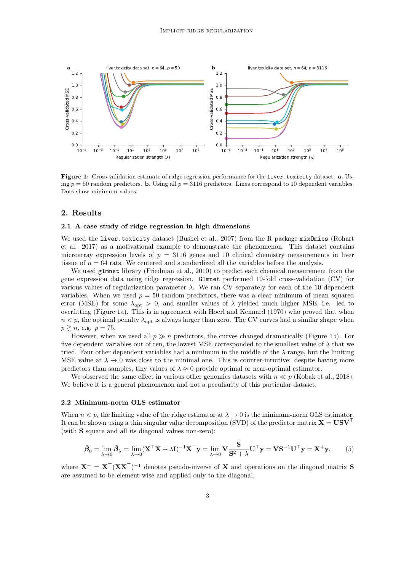<span id="page-2-0"></span>

Figure 1: Cross-validation estimate of ridge regression performance for the liver.toxicity dataset. a. Using  $p = 50$  random predictors. **b.** Using all  $p = 3116$  predictors. Lines correspond to 10 dependent variables. Dots show minimum values.

# 2. Results

## 2.1 A case study of ridge regression in high dimensions

We used the liver.toxicity dataset [\(Bushel et al., 2007\)](#page-12-5) from the R package mixOmics [\(Rohart](#page-14-5) [et al., 2017\)](#page-14-5) as a motivational example to demonstrate the phenomenon. This dataset contains microarray expression levels of  $p = 3116$  genes and 10 clinical chemistry measurements in liver tissue of  $n = 64$  rats. We centered and standardized all the variables before the analysis.

We used glmnet library [\(Friedman et al., 2010\)](#page-13-12) to predict each chemical measurement from the gene expression data using ridge regression. Glmnet performed 10-fold cross-validation (CV) for various values of regularization parameter  $\lambda$ . We ran CV separately for each of the 10 dependent variables. When we used  $p = 50$  random predictors, there was a clear minimum of mean squared error (MSE) for some  $\lambda_{\text{opt}} > 0$ , and smaller values of  $\lambda$  yielded much higher MSE, i.e. led to overfitting (Figure [1a](#page-2-0)). This is in agreement with [Hoerl and Kennard](#page-13-2) [\(1970\)](#page-13-2) who proved that when  $n < p$ , the optimal penalty  $\lambda_{opt}$  is always larger than zero. The CV curves had a similar shape when  $p \gtrsim n$ , e.g.  $p = 75$ .

However, when we used all  $p \gg n$  predictors, the curves changed dramatically (Figure [1b](#page-2-0)). For five dependent variables out of ten, the lowest MSE corresponded to the smallest value of  $\lambda$  that we tried. Four other dependent variables had a minimum in the middle of the  $\lambda$  range, but the limiting MSE value at  $\lambda \to 0$  was close to the minimal one. This is counter-intuitive: despite having more predictors than samples, tiny values of  $\lambda \approx 0$  provide optimal or near-optimal estimator.

We observed the same effect in various other genomics datasets with  $n \ll p$  [\(Kobak et al., 2018\)](#page-13-13). We believe it is a general phenomenon and not a peculiarity of this particular dataset.

## 2.2 Minimum-norm OLS estimator

When  $n < p$ , the limiting value of the ridge estimator at  $\lambda \to 0$  is the minimum-norm OLS estimator. It can be shown using a thin singular value decomposition (SVD) of the predictor matrix  $X = USV<sup>+</sup>$ (with S square and all its diagonal values non-zero):

$$
\hat{\boldsymbol{\beta}}_0 = \lim_{\lambda \to 0} \hat{\boldsymbol{\beta}}_{\lambda} = \lim_{\lambda \to 0} (\mathbf{X}^\top \mathbf{X} + \lambda \mathbf{I})^{-1} \mathbf{X}^\top \mathbf{y} = \lim_{\lambda \to 0} \mathbf{V} \frac{\mathbf{S}}{\mathbf{S}^2 + \lambda} \mathbf{U}^\top \mathbf{y} = \mathbf{V} \mathbf{S}^{-1} \mathbf{U}^\top \mathbf{y} = \mathbf{X}^+ \mathbf{y}, \quad (5)
$$

where  $X^+ = X^{\top} (XX^{\top})^{-1}$  denotes pseudo-inverse of X and operations on the diagonal matrix S are assumed to be element-wise and applied only to the diagonal.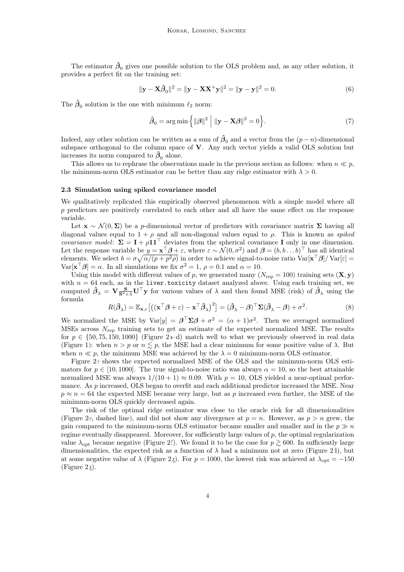The estimator  $\hat{\beta}_0$  gives one possible solution to the OLS problem and, as any other solution, it provides a perfect fit on the training set:

$$
\|\mathbf{y} - \mathbf{X}\hat{\boldsymbol{\beta}}_0\|^2 = \|\mathbf{y} - \mathbf{X}\mathbf{X}^+\mathbf{y}\|^2 = \|\mathbf{y} - \mathbf{y}\|^2 = 0.
$$
 (6)

The  $\hat{\beta}_0$  solution is the one with minimum  $\ell_2$  norm:

$$
\hat{\boldsymbol{\beta}}_0 = \arg\min\left\{ \|\boldsymbol{\beta}\|^2 \mid \|\mathbf{y} - \mathbf{X}\boldsymbol{\beta}\|^2 = 0 \right\}.
$$
 (7)

Indeed, any other solution can be written as a sum of  $\hat{\beta}_0$  and a vector from the  $(p-n)$ -dimensional subspace orthogonal to the column space of V. Any such vector yields a valid OLS solution but increases its norm compared to  $\hat{\beta}_0$  alone.

This allows us to rephrase the observations made in the previous section as follows: when  $n \ll p$ , the minimum-norm OLS estimator can be better than any ridge estimator with  $\lambda > 0$ .

#### <span id="page-3-0"></span>2.3 Simulation using spiked covariance model

We qualitatively replicated this empirically observed phenomenon with a simple model where all  $p$  predictors are positively correlated to each other and all have the same effect on the response variable.

Let  $\mathbf{x} \sim \mathcal{N}(0, \Sigma)$  be a p-dimensional vector of predictors with covariance matrix  $\Sigma$  having all diagonal values equal to  $1 + \rho$  and all non-diagonal values equal to  $\rho$ . This is known as spiked *covariance model:*  $\Sigma = I + \rho I I^{\top}$  deviates from the spherical covariance I only in one dimension. Let the response variable be  $y = \mathbf{x}^\top \boldsymbol{\beta} + \varepsilon$ , where  $\varepsilon \sim \mathcal{N}(0, \sigma^2)$  and  $\boldsymbol{\beta} = (b, b \dots b)^\top$  has all identical elements. We select  $b = \sigma \sqrt{\alpha/(p+p^2\rho)}$  in order to achieve signal-to-noise ratio  $\text{Var}[\mathbf{x}^\top \boldsymbol{\beta}]/\text{Var}[\varepsilon] =$  $\text{Var}[\mathbf{x}^\top \boldsymbol{\beta}] = \alpha$ . In all simulations we fix  $\sigma^2 = 1$ ,  $\rho = 0.1$  and  $\alpha = 10$ .

Using this model with different values of p, we generated many  $(N_{\text{rep}} = 100)$  training sets  $(X, y)$ with  $n = 64$  each, as in the liver.toxicity dataset analyzed above. Using each training set, we computed  $\hat{\beta}_{\lambda} = \mathbf{V} \frac{\mathbf{S}}{\mathbf{S}^2 + \lambda} \mathbf{U}^{\top} \mathbf{y}$  for various values of  $\lambda$  and then found MSE (risk) of  $\hat{\beta}_{\lambda}$  using the formula

$$
R(\hat{\boldsymbol{\beta}}_{\lambda}) = \mathbb{E}_{\mathbf{x},\varepsilon} \left[ \left( (\mathbf{x}^{\top} \boldsymbol{\beta} + \varepsilon) - \mathbf{x}^{\top} \hat{\boldsymbol{\beta}}_{\lambda} \right)^2 \right] = (\hat{\boldsymbol{\beta}}_{\lambda} - \boldsymbol{\beta})^{\top} \Sigma (\hat{\boldsymbol{\beta}}_{\lambda} - \boldsymbol{\beta}) + \sigma^2.
$$
 (8)

We normalized the MSE by  $Var[y] = \beta^T \Sigma \beta + \sigma^2 = (\alpha + 1)\sigma^2$ . Then we averaged normalized MSEs across  $N_{\text{rep}}$  training sets to get an estimate of the expected normalized MSE. The results for  $p \in \{50, 75, 150, 1000\}$  (Figure [2a](#page-4-0)–d) match well to what we previously observed in real data (Figure [1\)](#page-2-0): when  $n > p$  or  $n \leq p$ , the MSE had a clear minimum for some positive value of  $\lambda$ . But when  $n \ll p$ , the minimum MSE was achieved by the  $\lambda = 0$  minimum-norm OLS estimator.

Figure [2e](#page-4-0) shows the expected normalized MSE of the OLS and the minimum-norm OLS estimators for  $p \in [10, 1000]$ . The true signal-to-noise ratio was always  $\alpha = 10$ , so the best attainable normalized MSE was always  $1/(10 + 1) \approx 0.09$ . With  $p = 10$ , OLS yielded a near-optimal performance. As p increased, OLS began to overfit and each additional predictor increased the MSE. Near  $p \approx n = 64$  the expected MSE became very large, but as p increased even further, the MSE of the minimum-norm OLS quickly decreased again.

The risk of the optimal ridge estimator was close to the oracle risk for all dimensionalities (Figure [2e](#page-4-0), dashed line), and did not show any divergence at  $p = n$ . However, as  $p > n$  grew, the gain compared to the minimum-norm OLS estimator became smaller and smaller and in the  $p \gg n$ regime eventually disappeared. Moreover, for sufficiently large values of  $p$ , the optimal regularization value  $\lambda_{\text{opt}}$  became negative (Figure [2f](#page-4-0)). We found it to be the case for  $p \gtrsim 600$ . In sufficiently large dimensionalities, the expected risk as a function of  $\lambda$  had a minimum not at zero (Figure [2d](#page-4-0)), but at some negative value of  $\lambda$  (Figure [2g](#page-4-0)). For  $p = 1000$ , the lowest risk was achieved at  $\lambda_{\text{opt}} = -150$ (Figure [2g](#page-4-0)).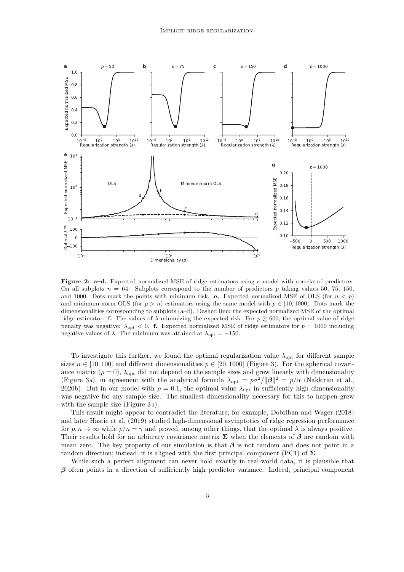<span id="page-4-0"></span>

Figure 2: a–d. Expected normalized MSE of ridge estimators using a model with correlated predictors. On all subplots  $n = 64$ . Subplots correspond to the number of predictors p taking values 50, 75, 150, and 1000. Dots mark the points with minimum risk. e. Expected normalized MSE of OLS (for  $n < p$ ) and minimum-norm OLS (for  $p > n$ ) estimators using the same model with  $p \in [10, 1000]$ . Dots mark the dimensionalities corresponding to subplots (a–d). Dashed line: the expected normalized MSE of the optimal ridge estimator. f. The values of  $\lambda$  minimizing the expected risk. For  $p \ge 600$ , the optimal value of ridge penalty was negative:  $\lambda_{\rm opt}$  < 0. f. Expected normalized MSE of ridge estimators for  $p = 1000$  including negative values of  $\lambda$ . The minimum was attained at  $\lambda_{\text{opt}} = -150$ .

To investigate this further, we found the optimal regularization value  $\lambda_{\text{opt}}$  for different sample sizes  $n \in [10, 100]$  and different dimensionalities  $p \in [20, 1000]$  (Figure [3\)](#page-5-0). For the spherical covariance matrix ( $\rho = 0$ ),  $\lambda_{opt}$  did not depend on the sample sizes and grew linearly with dimensionality (Figure [3a](#page-5-0)), in agreement with the analytical formula  $\lambda_{\rm opt} = p\sigma^2/\|\beta\|^2 = p/\alpha$  [\(Nakkiran et al.,](#page-13-14) [2020b\)](#page-13-14). But in our model with  $\rho = 0.1$ , the optimal value  $\lambda_{opt}$  in sufficiently high dimensionality was negative for any sample size. The smallest dimensionality necessary for this to happen grew with the sample size (Figure [3b](#page-5-0)).

This result might appear to contradict the literature; for example, [Dobriban and Wager](#page-13-9) [\(2018\)](#page-13-9) and later [Hastie et al.](#page-13-6) [\(2019\)](#page-13-6) studied high-dimensional asymptotics of ridge regression performance for  $p, n \to \infty$  while  $p/n = \gamma$  and proved, among other things, that the optimal  $\lambda$  is always positive. Their results hold for an arbitrary covariance matrix  $\Sigma$  when the elements of  $\beta$  are random with mean zero. The key property of our simulation is that  $\beta$  is not random and does not point in a random direction; instead, it is aligned with the first principal component (PC1) of  $\Sigma$ .

While such a perfect alignment can never hold exactly in real-world data, it is plausible that  $\beta$  often points in a direction of sufficiently high predictor variance. Indeed, principal component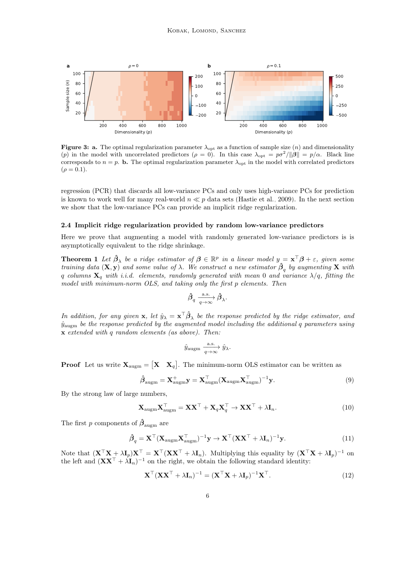<span id="page-5-0"></span>

Figure 3: a. The optimal regularization parameter  $\lambda_{\text{opt}}$  as a function of sample size  $(n)$  and dimensionality (p) in the model with uncorrelated predictors ( $\rho = 0$ ). In this case  $\lambda_{\text{opt}} = p\sigma^2/||\beta|| = p/\alpha$ . Black line corresponds to  $n = p$ . **b.** The optimal regularization parameter  $\lambda_{\text{opt}}$  in the model with correlated predictors  $(\rho = 0.1).$ 

regression (PCR) that discards all low-variance PCs and only uses high-variance PCs for prediction is known to work well for many real-world  $n \ll p$  data sets [\(Hastie et al., 2009\)](#page-13-0). In the next section we show that the low-variance PCs can provide an implicit ridge regularization.

#### 2.4 Implicit ridge regularization provided by random low-variance predictors

Here we prove that augmenting a model with randomly generated low-variance predictors is is asymptotically equivalent to the ridge shrinkage.

**Theorem 1** Let  $\hat{\boldsymbol{\beta}}_{\lambda}$  be a ridge estimator of  $\boldsymbol{\beta} \in \mathbb{R}^p$  in a linear model  $y = \mathbf{x}^{\top} \boldsymbol{\beta} + \varepsilon$ , given some training data  $(X, y)$  and some value of  $\lambda$ . We construct a new estimator  $\hat{\beta}_q$  by augmenting X with q columns  $X_q$  with i.i.d. elements, randomly generated with mean 0 and variance  $\lambda/q$ , fitting the model with minimum-norm OLS, and taking only the first p elements. Then

$$
\hat{\pmb\beta}_q \xrightarrow[q\to\infty]{\rm a.s.} \hat{\pmb\beta}_\lambda.
$$

In addition, for any given  $\mathbf{x}$ , let  $\hat{y}_\lambda = \mathbf{x}^\top \hat{\boldsymbol{\beta}}_\lambda$  be the response predicted by the ridge estimator, and  $\hat{y}_{\text{augm}}$  be the response predicted by the augmented model including the additional q parameters using x extended with q random elements (as above). Then:

$$
\hat{y}_{\text{augm}} \xrightarrow[q \to \infty]{a.s.} \hat{y}_{\lambda}.
$$

**Proof** Let us write  $X_{\text{augm}} = \begin{bmatrix} X & X_q \end{bmatrix}$ . The minimum-norm OLS estimator can be written as

$$
\hat{\boldsymbol{\beta}}_{\text{augm}} = \mathbf{X}_{\text{augm}}^{+} \mathbf{y} = \mathbf{X}_{\text{augm}}^{T} (\mathbf{X}_{\text{augm}} \mathbf{X}_{\text{augm}}^{T})^{-1} \mathbf{y}.
$$
\n(9)

By the strong law of large numbers,

$$
\mathbf{X}_{\text{augm}} \mathbf{X}_{\text{augm}}^{\top} = \mathbf{X} \mathbf{X}^{\top} + \mathbf{X}_q \mathbf{X}_q^{\top} \to \mathbf{X} \mathbf{X}^{\top} + \lambda \mathbf{I}_n.
$$
 (10)

The first p components of  $\hat{\beta}_{\text{augm}}$  are

$$
\hat{\boldsymbol{\beta}}_q = \mathbf{X}^\top (\mathbf{X}_{\text{augm}} \mathbf{X}_{\text{augm}}^\top)^{-1} \mathbf{y} \to \mathbf{X}^\top (\mathbf{X} \mathbf{X}^\top + \lambda \mathbf{I}_n)^{-1} \mathbf{y}.
$$
\n(11)

Note that  $(\mathbf{X}^\top \mathbf{X} + \lambda \mathbf{I}_p) \mathbf{X}^\top = \mathbf{X}^\top (\mathbf{X} \mathbf{X}^\top + \lambda \mathbf{I}_n)$ . Multiplying this equality by  $(\mathbf{X}^\top \mathbf{X} + \lambda \mathbf{I}_p)^{-1}$  on the left and  $(XX^{\top} + \lambda I_n)^{-1}$  on the right, we obtain the following standard identity:

$$
\mathbf{X}^{\top}(\mathbf{X}\mathbf{X}^{\top} + \lambda \mathbf{I}_n)^{-1} = (\mathbf{X}^{\top}\mathbf{X} + \lambda \mathbf{I}_p)^{-1}\mathbf{X}^{\top}.
$$
 (12)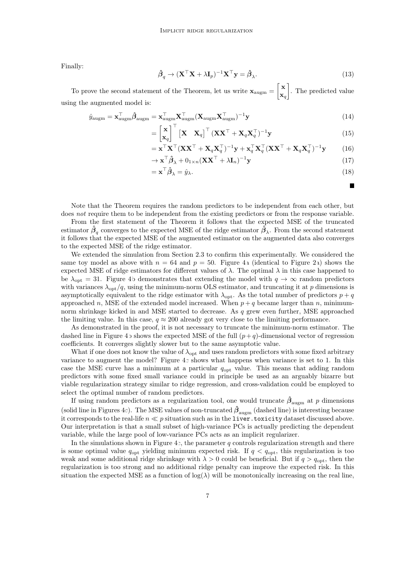Finally:

$$
\hat{\boldsymbol{\beta}}_q \to (\mathbf{X}^\top \mathbf{X} + \lambda \mathbf{I}_p)^{-1} \mathbf{X}^\top \mathbf{y} = \hat{\boldsymbol{\beta}}_\lambda.
$$
\n(13)

To prove the second statement of the Theorem, let us write  $\mathbf{x}_{\text{augm}} = \begin{bmatrix} \mathbf{x} \\ \mathbf{x} \end{bmatrix}$  $\mathbf{x}_q$  . The predicted value using the augmented model is:

$$
\hat{y}_{\text{augm}} = \mathbf{x}_{\text{augm}}^{\top} \hat{\boldsymbol{\beta}}_{\text{augm}} = \mathbf{x}_{\text{augm}}^{\top} \mathbf{X}_{\text{augm}}^{\top} (\mathbf{X}_{\text{augm}} \mathbf{X}_{\text{augm}}^{\top})^{-1} \mathbf{y}
$$
(14)

$$
= \begin{bmatrix} \mathbf{x} \\ \mathbf{x}_q \end{bmatrix}^\top \begin{bmatrix} \mathbf{X} & \mathbf{X}_q \end{bmatrix}^\top (\mathbf{X} \mathbf{X}^\top + \mathbf{X}_q \mathbf{X}_q^\top)^{-1} \mathbf{y}
$$
(15)

$$
= \mathbf{x}^\top \mathbf{X}^\top (\mathbf{X} \mathbf{X}^\top + \mathbf{X}_q \mathbf{X}_q^\top)^{-1} \mathbf{y} + \mathbf{x}_q^\top \mathbf{X}_q^\top (\mathbf{X} \mathbf{X}^\top + \mathbf{X}_q \mathbf{X}_q^\top)^{-1} \mathbf{y}
$$
(16)

$$
\rightarrow \mathbf{x}^{\top} \hat{\boldsymbol{\beta}}_{\lambda} + \mathbf{0}_{1 \times n} (\mathbf{X} \mathbf{X}^{\top} + \lambda \mathbf{I}_{n})^{-1} \mathbf{y}
$$
(17)

$$
= \mathbf{x}^{\top} \hat{\boldsymbol{\beta}}_{\lambda} = \hat{y}_{\lambda}.
$$
 (18)

П

Note that the Theorem requires the random predictors to be independent from each other, but does not require them to be independent from the existing predictors or from the response variable.

From the first statement of the Theorem it follows that the expected MSE of the truncated estimator  $\hat{\beta}_q$  converges to the expected MSE of the ridge estimator  $\hat{\beta}_\lambda$ . From the second statement it follows that the expected MSE of the augmented estimator on the augmented data also converges to the expected MSE of the ridge estimator.

We extended the simulation from Section [2.3](#page-3-0) to confirm this experimentally. We considered the same toy model as above with  $n = 64$  and  $p = 50$ . Figure [4a](#page-7-0) (identical to Figure [2a](#page-4-0)) shows the expected MSE of ridge estimators for different values of  $\lambda$ . The optimal  $\lambda$  in this case happened to be  $\lambda_{\text{opt}} = 31$ . Figure [4b](#page-7-0) demonstrates that extending the model with  $q \to \infty$  random predictors with variances  $\lambda_{\text{opt}}/q$ , using the minimum-norm OLS estimator, and truncating it at p dimensions is asymptotically equivalent to the ridge estimator with  $\lambda_{opt}$ . As the total number of predictors  $p + q$ approached n, MSE of the extended model increased. When  $p + q$  became larger than n, minimumnorm shrinkage kicked in and MSE started to decrease. As q grew even further, MSE approached the limiting value. In this case,  $q \approx 200$  already got very close to the limiting performance.

As demonstrated in the proof, it is not necessary to truncate the minimum-norm estimator. The dashed line in Figure [4b](#page-7-0) shows the expected MSE of the full  $(p+q)$ -dimensional vector of regression coefficients. It converges slightly slower but to the same asymptotic value.

What if one does not know the value of  $\lambda_{\text{opt}}$  and uses random predictors with some fixed arbitrary variance to augment the model? Figure [4c](#page-7-0) shows what happens when variance is set to 1. In this case the MSE curve has a minimum at a particular  $q_{opt}$  value. This means that adding random predictors with some fixed small variance could in principle be used as an arguably bizarre but viable regularization strategy similar to ridge regression, and cross-validation could be employed to select the optimal number of random predictors.

If using random predictors as a regularization tool, one would truncate  $\hat{\beta}_{\text{augm}}$  at p dimensions (solid line in Figures [4c](#page-7-0)). The MSE values of non-truncated  $\hat{\beta}_{\text{augm}}$  (dashed line) is interesting because it corresponds to the real-life  $n \ll p$  situation such as in the liver. toxicity dataset discussed above. Our interpretation is that a small subset of high-variance PCs is actually predicting the dependent variable, while the large pool of low-variance PCs acts as an implicit regularizer.

In the simulations shown in Figure [4c](#page-7-0), the parameter  $q$  controls regularization strength and there is some optimal value  $q_{\text{opt}}$  yielding minimum expected risk. If  $q < q_{\text{opt}}$ , this regularization is too weak and some additional ridge shrinkage with  $\lambda > 0$  could be beneficial. But if  $q > q_{\text{opt}}$ , then the regularization is too strong and no additional ridge penalty can improve the expected risk. In this situation the expected MSE as a function of  $log(\lambda)$  will be monotonically increasing on the real line,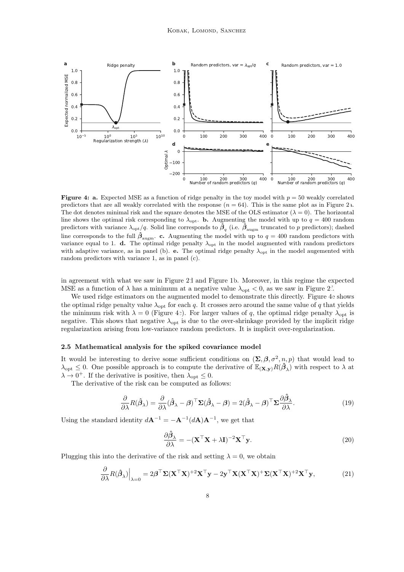<span id="page-7-0"></span>

**Figure 4: a.** Expected MSE as a function of ridge penalty in the toy model with  $p = 50$  weakly correlated predictors that are all weakly correlated with the response  $(n = 64)$ . This is the same plot as in Figure [2a](#page-4-0). The dot denotes minimal risk and the square denotes the MSE of the OLS estimator  $(\lambda = 0)$ . The horizontal line shows the optimal risk corresponding to  $\lambda_{\rm opt}$ . **b.** Augmenting the model with up to  $q = 400$  random predictors with variance  $\lambda_{\text{opt}}/q$ . Solid line corresponds to  $\tilde{\beta}_q$  (i.e.  $\tilde{\beta}_{\text{augm}}$  truncated to p predictors); dashed line corresponds to the full  $\hat{\beta}_{\text{augm}}$ . c. Augmenting the model with up to  $q = 400$  random predictors with variance equal to 1. d. The optimal ridge penalty  $\lambda_{\text{opt}}$  in the model augmented with random predictors with adaptive variance, as in panel (b). e. The optimal ridge penalty  $\lambda_{\text{opt}}$  in the model augemented with random predictors with variance 1, as in panel (c).

in agreement with what we saw in Figure [2d](#page-4-0) and Figure [1b](#page-2-0). Moreover, in this regime the expected MSE as a function of  $\lambda$  has a minimum at a negative value  $\lambda_{opt} < 0$ , as we saw in Figure [2f](#page-4-0).

We used ridge estimators on the augmented model to demonstrate this directly. Figure [4e](#page-7-0) shows the optimal ridge penalty value  $\lambda_{\rm opt}$  for each q. It crosses zero around the same value of q that yields the minimum risk with  $\lambda = 0$  (Figure [4c](#page-7-0)). For larger values of q, the optimal ridge penalty  $\lambda_{\text{opt}}$  is negative. This shows that negative  $\lambda_{\rm opt}$  is due to the over-shrinkage provided by the implicit ridge regularization arising from low-variance random predictors. It is implicit over-regularization.

#### 2.5 Mathematical analysis for the spiked covariance model

It would be interesting to derive some sufficient conditions on  $(\Sigma, \beta, \sigma^2, n, p)$  that would lead to  $\lambda_{\text{opt}} \leq 0$ . One possible approach is to compute the derivative of  $\mathbb{E}_{(\mathbf{X}, \mathbf{y})} R(\hat{\beta}_{\lambda})$  with respect to  $\lambda$  at  $\lambda \to 0^+$ . If the derivative is positive, then  $\lambda_{\text{opt}} \leq 0$ .

The derivative of the risk can be computed as follows:

$$
\frac{\partial}{\partial \lambda} R(\hat{\boldsymbol{\beta}}_{\lambda}) = \frac{\partial}{\partial \lambda} (\hat{\boldsymbol{\beta}}_{\lambda} - \boldsymbol{\beta})^{\top} \Sigma (\hat{\boldsymbol{\beta}}_{\lambda} - \boldsymbol{\beta}) = 2(\hat{\boldsymbol{\beta}}_{\lambda} - \boldsymbol{\beta})^{\top} \Sigma \frac{\partial \hat{\boldsymbol{\beta}}_{\lambda}}{\partial \lambda}.
$$
 (19)

Using the standard identity  $d\mathbf{A}^{-1} = -\mathbf{A}^{-1}(d\mathbf{A})\mathbf{A}^{-1}$ , we get that

$$
\frac{\partial \hat{\boldsymbol{\beta}}_{\lambda}}{\partial \lambda} = -(\mathbf{X}^{\top} \mathbf{X} + \lambda \mathbf{I})^{-2} \mathbf{X}^{\top} \mathbf{y}.
$$
\n(20)

Plugging this into the derivative of the risk and setting  $\lambda = 0$ , we obtain

$$
\frac{\partial}{\partial \lambda} R(\hat{\boldsymbol{\beta}}_{\lambda})\Big|_{\lambda=0} = 2\boldsymbol{\beta}^{\top} \boldsymbol{\Sigma} (\mathbf{X}^{\top} \mathbf{X})^{+2} \mathbf{X}^{\top} \mathbf{y} - 2\mathbf{y}^{\top} \mathbf{X} (\mathbf{X}^{\top} \mathbf{X})^{+} \boldsymbol{\Sigma} (\mathbf{X}^{\top} \mathbf{X})^{+2} \mathbf{X}^{\top} \mathbf{y},\tag{21}
$$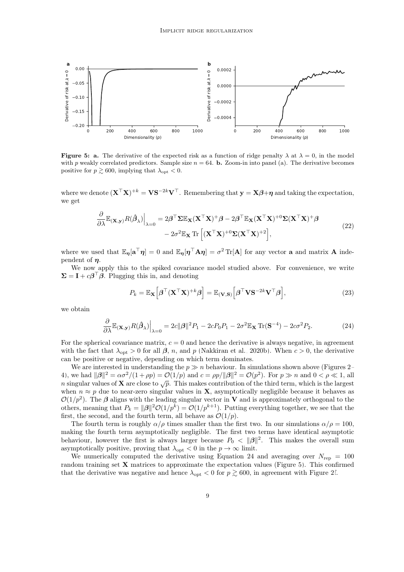<span id="page-8-1"></span>

**Figure 5: a.** The derivative of the expected risk as a function of ridge penalty  $\lambda$  at  $\lambda = 0$ , in the model with p weakly correlated predictors. Sample size  $n = 64$ . **b.** Zoom-in into panel (a). The derivative becomes positive for  $p \gtrsim 600$ , implying that  $\lambda_{\text{opt}} < 0$ .

where we denote  $({\bf X}^\top {\bf X})^{+k} = {\bf V} {\bf S}^{-2k} {\bf V}^\top$ . Remembering that  ${\bf y} = {\bf X} \boldsymbol{\beta} + \boldsymbol{\eta}$  and taking the expectation, we get

$$
\frac{\partial}{\partial \lambda} \mathbb{E}_{(\mathbf{X}, \mathbf{y})} R(\hat{\beta}_{\lambda}) \Big|_{\lambda=0} = 2\beta^{\top} \Sigma \mathbb{E}_{\mathbf{X}} (\mathbf{X}^{\top} \mathbf{X})^{+} \beta - 2\beta^{\top} \mathbb{E}_{\mathbf{X}} (\mathbf{X}^{\top} \mathbf{X})^{+0} \Sigma (\mathbf{X}^{\top} \mathbf{X})^{+} \beta - 2\sigma^{2} \mathbb{E}_{\mathbf{X}} \text{Tr} \left[ (\mathbf{X}^{\top} \mathbf{X})^{+0} \Sigma (\mathbf{X}^{\top} \mathbf{X})^{+2} \right],
$$
\n(22)

where we used that  $\mathbb{E}_{\eta}[\mathbf{a}^{\top}\eta] = 0$  and  $\mathbb{E}_{\eta}[\eta^{\top}\mathbf{A}\eta] = \sigma^2 \text{Tr}[\mathbf{A}]$  for any vector **a** and matrix **A** independent of  $\eta$ .

We now apply this to the spiked covariance model studied above. For convenience, we write  $\Sigma = I + c\beta^{\top} \beta$ . Plugging this in, and denoting

$$
P_k = \mathbb{E}_{\mathbf{X}} \left[ \boldsymbol{\beta}^\top (\mathbf{X}^\top \mathbf{X})^{+k} \boldsymbol{\beta} \right] = \mathbb{E}_{(\mathbf{V}, \mathbf{S})} \left[ \boldsymbol{\beta}^\top \mathbf{V} \mathbf{S}^{-2k} \mathbf{V}^\top \boldsymbol{\beta} \right],\tag{23}
$$

we obtain

<span id="page-8-0"></span>
$$
\frac{\partial}{\partial \lambda} \mathbb{E}_{(\mathbf{X}, \mathbf{y})} R(\hat{\boldsymbol{\beta}}_{\lambda}) \Big|_{\lambda=0} = 2c \|\boldsymbol{\beta}\|^2 P_1 - 2cP_0 P_1 - 2\sigma^2 \mathbb{E}_{\mathbf{X}} \operatorname{Tr}(\mathbf{S}^{-4}) - 2c\sigma^2 P_2.
$$
 (24)

For the spherical covariance matrix,  $c = 0$  and hence the derivative is always negative, in agreement with the fact that  $\lambda_{\text{opt}} > 0$  for all  $\beta$ , n, and p [\(Nakkiran et al., 2020b\)](#page-13-14). When  $c > 0$ , the derivative can be positive or negative, depending on which term dominates.

We are interested in understanding the  $p \gg n$  behaviour. In simulations shown above (Figures [2–](#page-4-0) [4\)](#page-7-0), we had  $\|\boldsymbol{\beta}\|^2 = \alpha \sigma^2/(1+\rho p) = \mathcal{O}(1/p)$  and  $c = \rho p / \|\boldsymbol{\beta}\|^2 = \mathcal{O}(p^2)$ . For  $p \gg n$  and  $0 < \rho \ll 1$ , all n singular values of **X** are close to  $\sqrt{p}$ . This makes contribution of the third term, which is the largest when  $n \approx p$  due to near-zero singular values in **X**, asymptotically negligible because it behaves as  $\mathcal{O}(1/p^2)$ . The  $\beta$  aligns with the leading singular vector in V and is approximately orthogonal to the others, meaning that  $P_k = ||\beta||^2 \mathcal{O}(1/p^k) = \mathcal{O}(1/p^{k+1})$ . Putting everything together, we see that the first, the second, and the fourth term, all behave as  $\mathcal{O}(1/p)$ .

The fourth term is roughly  $\alpha/\rho$  times smaller than the first two. In our simulations  $\alpha/\rho = 100$ , making the fourth term asymptotically negligible. The first two terms have identical asymptotic behaviour, however the first is always larger because  $P_0 < ||\beta||^2$ . This makes the overall sum asymptotically positive, proving that  $\lambda_{opt} < 0$  in the  $p \to \infty$  limit.

We numerically computed the derivative using Equation [24](#page-8-0) and averaging over  $N_{\text{rep}} = 100$ random training set  $X$  matrices to approximate the expectation values (Figure [5\)](#page-8-1). This confirmed that the derivative was negative and hence  $\lambda_{\text{opt}} < 0$  for  $p \gtrsim 600$ , in agreement with Figure [2f](#page-4-0).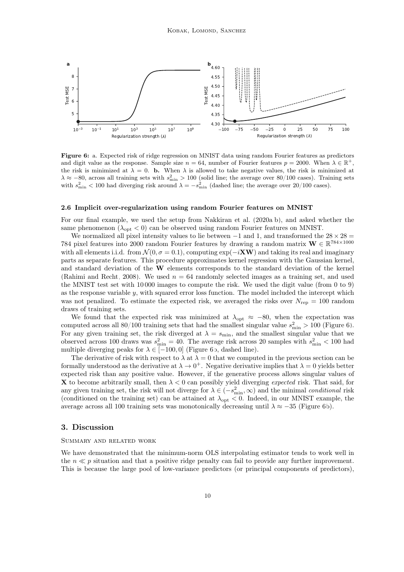<span id="page-9-0"></span>

Figure 6: a. Expected risk of ridge regression on MNIST data using random Fourier features as predictors and digit value as the response. Sample size  $n = 64$ , number of Fourier features  $p = 2000$ . When  $\lambda \in \mathbb{R}^+$ , the risk is minimized at  $\lambda = 0$ . **b.** When  $\lambda$  is allowed to take negative values, the risk is minimized at  $\lambda \approx -80$ , across all training sets with  $s_{\text{min}}^2 > 100$  (solid line; the average over 80/100 cases). Training sets with  $s_{\min}^2$  < 100 had diverging risk around  $\lambda = -s_{\min}^2$  (dashed line; the average over 20/100 cases).

#### 2.6 Implicit over-regularization using random Fourier features on MNIST

For our final example, we used the setup from [Nakkiran et al.](#page-13-4) [\(2020a,](#page-13-4)[b\)](#page-13-14), and asked whether the same phenomenon ( $\lambda_{\rm opt}$  < 0) can be observed using random Fourier features on MNIST.

We normalized all pixel intensity values to lie between  $-1$  and 1, and transformed the  $28 \times 28 =$ 784 pixel features into 2000 random Fourier features by drawing a random matrix  $\mathbf{W} \in \mathbb{R}^{784 \times 1000}$ with all elements i.i.d. from  $\mathcal{N}(0, \sigma = 0.1)$ , computing exp( $-i\mathbf{X}\mathbf{W}$ ) and taking its real and imaginary parts as separate features. This procedure approximates kernel regression with the Gaussian kernel, and standard deviation of the W elements corresponds to the standard deviation of the kernel [\(Rahimi and Recht, 2008\)](#page-13-15). We used  $n = 64$  randomly selected images as a training set, and used the MNIST test set with 10 000 images to compute the risk. We used the digit value (from 0 to 9) as the response variable y, with squared error loss function. The model included the intercept which was not penalized. To estimate the expected risk, we averaged the risks over  $N_{\text{rep}} = 100$  random draws of training sets.

We found that the expected risk was minimized at  $\lambda_{\text{opt}} \approx -80$ , when the expectation was computed across all  $80/100$  training sets that had the smallest singular value  $s_{\text{min}}^2 > 100$  (Figure [6\)](#page-9-0). For any given training set, the risk diverged at  $\lambda = s_{\text{min}}$ , and the smallest singular value that we observed across 100 draws was  $s_{\text{min}}^2 = 40$ . The average risk across 20 samples with  $s_{\text{min}}^2 < 100$  had multiple diverging peaks for  $\lambda \in [-100, 0]$  (Figure [6b](#page-9-0), dashed line).

The derivative of risk with respect to  $\lambda$  at  $\lambda = 0$  that we computed in the previous section can be formally understood as the derivative at  $\lambda \to 0^+$ . Negative derivative implies that  $\lambda = 0$  yields better expected risk than any positive value. However, if the generative process allows singular values of **X** to become arbitrarily small, then  $\lambda < 0$  can possibly yield diverging *expected* risk. That said, for any given training set, the risk will not diverge for  $\lambda \in (-s_{\min}^2, \infty)$  and the minimal *conditional* risk (conditioned on the training set) can be attained at  $\lambda_{opt} < 0$ . Indeed, in our MNIST example, the average across all 100 training sets was monotonically decreasing until  $\lambda \approx -35$  (Figure [6b](#page-9-0)).

# 3. Discussion

## Summary and related work

We have demonstrated that the minimum-norm OLS interpolating estimator tends to work well in the  $n \ll p$  situation and that a positive ridge penalty can fail to provide any further improvement. This is because the large pool of low-variance predictors (or principal components of predictors),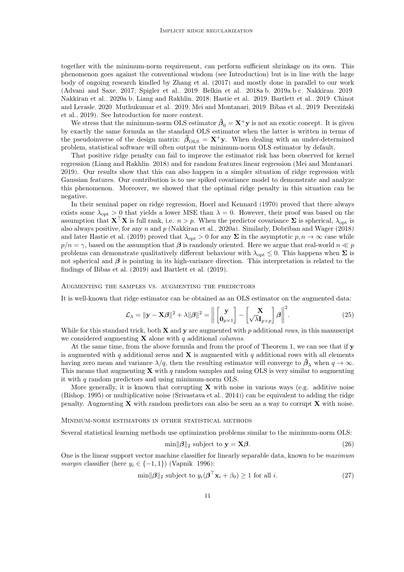together with the minimum-norm requirement, can perform sufficient shrinkage on its own. This phenomenon goes against the conventional wisdom (see Introduction) but is in line with the large body of ongoing research kindled by [Zhang et al.](#page-14-3) [\(2017\)](#page-14-3) and mostly done in parallel to our work [\(Advani and Saxe, 2017;](#page-12-1) [Spigler et al., 2019;](#page-14-4) [Belkin et al., 2018a,](#page-12-6)[b,](#page-12-7) [2019a,](#page-12-2)[b,](#page-12-8)[c;](#page-12-9) [Nakkiran, 2019;](#page-13-16) [Nakkiran et al., 2020a,](#page-13-4)[b;](#page-13-14) [Liang and Rakhlin, 2018;](#page-13-5) [Hastie et al., 2019;](#page-13-6) [Bartlett et al., 2019;](#page-12-3) [Chinot](#page-13-7) [and Lerasle, 2020;](#page-13-7) [Muthukumar et al., 2019;](#page-13-8) [Mei and Montanari, 2019;](#page-13-10) [Bibas et al., 2019;](#page-12-4) [Dereziński](#page-13-11) [et al., 2019\)](#page-13-11). See Introduction for more context.

We stress that the minimum-norm OLS estimator  $\hat{\beta}_0 = \mathbf{X}^+ \mathbf{y}$  is not an exotic concept. It is given by exactly the same formula as the standard OLS estimator when the latter is written in terms of the pseudoinverse of the design matrix:  $\hat{\beta}_{OLS} = \mathbf{X}^+ \mathbf{y}$ . When dealing with an under-determined problem, statistical software will often output the minimum-norm OLS estimator by default.

That positive ridge penalty can fail to improve the estimator risk has been observed for kernel regression [\(Liang and Rakhlin, 2018\)](#page-13-5) and for random features linear regression [\(Mei and Montanari,](#page-13-10) [2019\)](#page-13-10). Our results show that this can also happen in a simpler situation of ridge regression with Gaussian features. Our contribution is to use spiked covariance model to demonstrate and analyze this phenomenon. Moreover, we showed that the optimal ridge penalty in this situation can be negative.

In their seminal paper on ridge regression, [Hoerl and Kennard](#page-13-2) [\(1970\)](#page-13-2) proved that there always exists some  $\lambda_{\text{opt}} > 0$  that yields a lower MSE than  $\lambda = 0$ . However, their proof was based on the assumption that  $X^{\top}X$  is full rank, i.e.  $n > p$ . When the predictor covariance  $\Sigma$  is spherical,  $\lambda_{\text{opt}}$  is also always positive, for any n and p [\(Nakkiran et al., 2020a\)](#page-13-4). Similarly, [Dobriban and Wager](#page-13-9) [\(2018\)](#page-13-9) and later [Hastie et al.](#page-13-6) [\(2019\)](#page-13-6) proved that  $\lambda_{\text{opt}} > 0$  for any  $\Sigma$  in the asymptotic  $p, n \to \infty$  case while  $p/n = \gamma$ , based on the assumption that  $\beta$  is randomly oriented. Here we argue that real-world  $n \ll p$ problems can demonstrate qualitatively different behaviour with  $\lambda_{\text{opt}} \leq 0$ . This happens when  $\Sigma$  is not spherical and  $\beta$  is pointing in its high-variance direction. This interpretation is related to the findings of [Bibas et al.](#page-12-4) [\(2019\)](#page-12-4) and [Bartlett et al.](#page-12-3) [\(2019\)](#page-12-3).

#### Augmenting the samples vs. augmenting the predictors

It is well-known that ridge estimator can be obtained as an OLS estimator on the augmented data:

$$
\mathcal{L}_{\lambda} = \|\mathbf{y} - \mathbf{X}\boldsymbol{\beta}\|^2 + \lambda \|\boldsymbol{\beta}\|^2 = \left\| \begin{bmatrix} \mathbf{y} \\ \mathbf{0}_{p \times 1} \end{bmatrix} - \begin{bmatrix} \mathbf{X} \\ \sqrt{\lambda} \mathbf{I}_{p \times p} \end{bmatrix} \boldsymbol{\beta} \right\|^2.
$$
 (25)

While for this standard trick, both  $X$  and  $y$  are augmented with p additional rows, in this manuscript we considered augmenting  $X$  alone with q additional *columns*.

At the same time, from the above formula and from the proof of Theorem 1, we can see that if **y** is augmented with q additional zeros and  $X$  is augmented with q additional rows with all elements having zero mean and variance  $\lambda/q$ , then the resulting estimator will converge to  $\hat{\beta}_{\lambda}$  when  $q \to \infty$ . This means that augmenting  $\bf{X}$  with q random samples and using OLS is very similar to augmenting it with q random predictors and using minimum-norm OLS.

More generally, it is known that corrupting  $X$  with noise in various ways (e.g. additive noise [\(Bishop, 1995\)](#page-12-10) or multiplicative noise [\(Srivastava et al., 2014\)](#page-14-6)) can be equivalent to adding the ridge penalty. Augmenting  $X$  with random predictors can also be seen as a way to corrupt  $X$  with noise.

MINIMUM-NORM ESTIMATORS IN OTHER STATISTICAL METHODS

Several statistical learning methods use optimization problems similar to the minimum-norm OLS:

$$
\min \|\boldsymbol{\beta}\|_2 \text{ subject to } \mathbf{y} = \mathbf{X}\boldsymbol{\beta}.\tag{26}
$$

One is the linear support vector machine classifier for linearly separable data, known to be *maximum* margin classifier (here  $y_i \in \{-1, 1\}$ ) [\(Vapnik, 1996\)](#page-14-7):

$$
\min \|\boldsymbol{\beta}\|_2 \text{ subject to } y_i(\boldsymbol{\beta}^\top \mathbf{x}_i + \beta_0) \ge 1 \text{ for all } i. \tag{27}
$$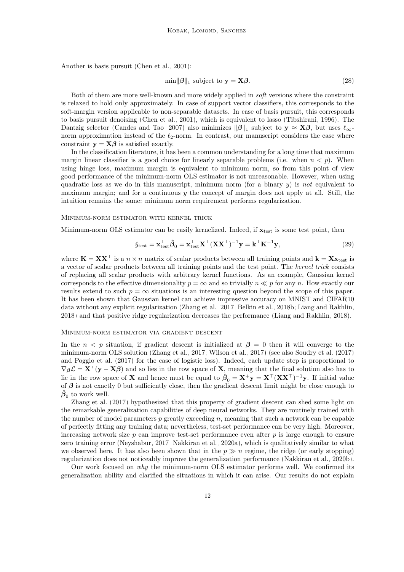Another is basis pursuit [\(Chen et al., 2001\)](#page-12-11):

$$
\min \|\boldsymbol{\beta}\|_1 \text{ subject to } \mathbf{y} = \mathbf{X}\boldsymbol{\beta}.\tag{28}
$$

Both of them are more well-known and more widely applied in soft versions where the constraint is relaxed to hold only approximately. In case of support vector classifiers, this corresponds to the soft-margin version applicable to non-separable datasets. In case of basis pursuit, this corresponds to basis pursuit denoising [\(Chen et al., 2001\)](#page-12-11), which is equivalent to lasso [\(Tibshirani, 1996\)](#page-14-0). The Dantzig selector [\(Candes and Tao, 2007\)](#page-12-0) also minimizes  $\|\beta\|_1$  subject to  $y \approx X\beta$ , but uses  $\ell_{\infty}$ norm approximation instead of the  $\ell_2$ -norm. In contrast, our manuscript considers the case where constraint  $y = X\beta$  is satisfied exactly.

In the classification literature, it has been a common understanding for a long time that maximum margin linear classifier is a good choice for linearly separable problems (i.e. when  $n < p$ ). When using hinge loss, maximum margin is equivalent to minimum norm, so from this point of view good performance of the minimum-norm OLS estimator is not unreasonable. However, when using quadratic loss as we do in this manuscript, minimum norm (for a binary  $y$ ) is not equivalent to maximum margin; and for a continuous y the concept of margin does not apply at all. Still, the intuition remains the same: minimum norm requirement performs regularization.

#### Minimum-norm estimator with kernel trick

Minimum-norm OLS estimator can be easily kernelized. Indeed, if  $\mathbf{x}_{test}$  is some test point, then

$$
\hat{y}_{\text{test}} = \mathbf{x}_{\text{test}}^{\top} \hat{\boldsymbol{\beta}}_0 = \mathbf{x}_{\text{test}}^{\top} \mathbf{X}^{\top} (\mathbf{X} \mathbf{X}^{\top})^{-1} \mathbf{y} = \mathbf{k}^{\top} \mathbf{K}^{-1} \mathbf{y},\tag{29}
$$

where  $\mathbf{K} = \mathbf{X} \mathbf{X}^{\top}$  is a  $n \times n$  matrix of scalar products between all training points and  $\mathbf{k} = \mathbf{X} \mathbf{x}_{test}$  is a vector of scalar products between all training points and the test point. The kernel trick consists of replacing all scalar products with arbitrary kernel functions. As an example, Gaussian kernel corresponds to the effective dimensionality  $p = \infty$  and so trivially  $n \ll p$  for any n. How exactly our results extend to such  $p = \infty$  situations is an interesting question beyond the scope of this paper. It has been shown that Gaussian kernel can achieve impressive accuracy on MNIST and CIFAR10 data without any explicit regularization [\(Zhang et al., 2017;](#page-14-3) [Belkin et al., 2018b;](#page-12-7) [Liang and Rakhlin,](#page-13-5) [2018\)](#page-13-5) and that positive ridge regularization decreases the performance [\(Liang and Rakhlin, 2018\)](#page-13-5).

#### Minimum-norm estimator via gradient descent

In the  $n < p$  situation, if gradient descent is initialized at  $\beta = 0$  then it will converge to the minimum-norm OLS solution [\(Zhang et al., 2017;](#page-14-3) [Wilson et al., 2017\)](#page-14-8) (see also [Soudry et al.](#page-14-9) [\(2017\)](#page-14-9) and [Poggio et al.](#page-13-17) [\(2017\)](#page-13-17) for the case of logistic loss). Indeed, each update step is proportional to  $\nabla_{\beta} \mathcal{L} = \mathbf{X}^{\top}(\mathbf{y} - \mathbf{X}\beta)$  and so lies in the row space of **X**, meaning that the final solution also has to lie in the row space of **X** and hence must be equal to  $\hat{\beta}_0 = \mathbf{X}^+ \mathbf{y} = \mathbf{X}^\top (\mathbf{X} \mathbf{X}^\top)^{-1} \mathbf{y}$ . If initial value of  $\beta$  is not exactly 0 but sufficiently close, then the gradient descent limit might be close enough to  $\hat{\beta}_0$  to work well.

[Zhang et al.](#page-14-3) [\(2017\)](#page-14-3) hypothesized that this property of gradient descent can shed some light on the remarkable generalization capabilities of deep neural networks. They are routinely trained with the number of model parameters  $p$  greatly exceeding  $n$ , meaning that such a network can be capable of perfectly fitting any training data; nevertheless, test-set performance can be very high. Moreover, increasing network size  $p$  can improve test-set performance even after  $p$  is large enough to ensure zero training error [\(Neyshabur, 2017;](#page-13-18) [Nakkiran et al., 2020a\)](#page-13-4), which is qualitatively similar to what we observed here. It has also been shown that in the  $p \gg n$  regime, the ridge (or early stopping) regularization does not noticeably improve the generalization performance [\(Nakkiran et al., 2020b\)](#page-13-14).

Our work focused on why the minimum-norm OLS estimator performs well. We confirmed its generalization ability and clarified the situations in which it can arise. Our results do not explain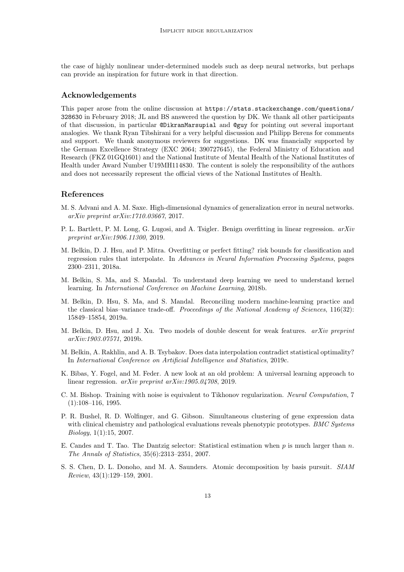the case of highly nonlinear under-determined models such as deep neural networks, but perhaps can provide an inspiration for future work in that direction.

## Acknowledgements

This paper arose from the online discussion at [https://stats.stackexchange.com/questions/](https://stats.stackexchange.com/questions/328630) [328630](https://stats.stackexchange.com/questions/328630) in February 2018; JL and BS answered the question by DK. We thank all other participants of that discussion, in particular @DikranMarsupial and @guy for pointing out several important analogies. We thank Ryan Tibshirani for a very helpful discussion and Philipp Berens for comments and support. We thank anonymous reviewers for suggestions. DK was financially supported by the German Excellence Strategy (EXC 2064; 390727645), the Federal Ministry of Education and Research (FKZ 01GQ1601) and the National Institute of Mental Health of the National Institutes of Health under Award Number U19MH114830. The content is solely the responsibility of the authors and does not necessarily represent the official views of the National Institutes of Health.

# References

- <span id="page-12-1"></span>M. S. Advani and A. M. Saxe. High-dimensional dynamics of generalization error in neural networks. arXiv preprint arXiv:1710.03667, 2017.
- <span id="page-12-3"></span>P. L. Bartlett, P. M. Long, G. Lugosi, and A. Tsigler. Benign overfitting in linear regression. arXiv preprint arXiv:1906.11300, 2019.
- <span id="page-12-6"></span>M. Belkin, D. J. Hsu, and P. Mitra. Overfitting or perfect fitting? risk bounds for classification and regression rules that interpolate. In Advances in Neural Information Processing Systems, pages 2300–2311, 2018a.
- <span id="page-12-7"></span>M. Belkin, S. Ma, and S. Mandal. To understand deep learning we need to understand kernel learning. In International Conference on Machine Learning, 2018b.
- <span id="page-12-2"></span>M. Belkin, D. Hsu, S. Ma, and S. Mandal. Reconciling modern machine-learning practice and the classical bias–variance trade-off. Proceedings of the National Academy of Sciences, 116(32): 15849–15854, 2019a.
- <span id="page-12-8"></span>M. Belkin, D. Hsu, and J. Xu. Two models of double descent for weak features. arXiv preprint arXiv:1903.07571, 2019b.
- <span id="page-12-9"></span>M. Belkin, A. Rakhlin, and A. B. Tsybakov. Does data interpolation contradict statistical optimality? In International Conference on Artificial Intelligence and Statistics, 2019c.
- <span id="page-12-4"></span>K. Bibas, Y. Fogel, and M. Feder. A new look at an old problem: A universal learning approach to linear regression. arXiv preprint arXiv:1905.04708, 2019.
- <span id="page-12-10"></span>C. M. Bishop. Training with noise is equivalent to Tikhonov regularization. Neural Computation, 7  $(1):108-116, 1995.$
- <span id="page-12-5"></span>P. R. Bushel, R. D. Wolfinger, and G. Gibson. Simultaneous clustering of gene expression data with clinical chemistry and pathological evaluations reveals phenotypic prototypes. *BMC Systems* Biology, 1(1):15, 2007.
- <span id="page-12-0"></span>E. Candes and T. Tao. The Dantzig selector: Statistical estimation when  $p$  is much larger than  $n$ . The Annals of Statistics, 35(6):2313–2351, 2007.
- <span id="page-12-11"></span>S. S. Chen, D. L. Donoho, and M. A. Saunders. Atomic decomposition by basis pursuit. SIAM Review, 43(1):129–159, 2001.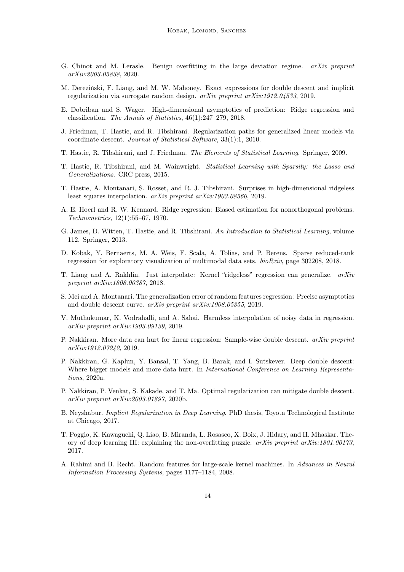- <span id="page-13-7"></span>G. Chinot and M. Lerasle. Benign overfitting in the large deviation regime.  $arXiv$  preprint arXiv:2003.05838, 2020.
- <span id="page-13-11"></span>M. Dereziński, F. Liang, and M. W. Mahoney. Exact expressions for double descent and implicit regularization via surrogate random design. arXiv preprint arXiv:1912.04533, 2019.
- <span id="page-13-9"></span>E. Dobriban and S. Wager. High-dimensional asymptotics of prediction: Ridge regression and classification. The Annals of Statistics, 46(1):247–279, 2018.
- <span id="page-13-12"></span>J. Friedman, T. Hastie, and R. Tibshirani. Regularization paths for generalized linear models via coordinate descent. Journal of Statistical Software, 33(1):1, 2010.
- <span id="page-13-0"></span>T. Hastie, R. Tibshirani, and J. Friedman. The Elements of Statistical Learning. Springer, 2009.
- <span id="page-13-1"></span>T. Hastie, R. Tibshirani, and M. Wainwright. Statistical Learning with Sparsity: the Lasso and Generalizations. CRC press, 2015.
- <span id="page-13-6"></span>T. Hastie, A. Montanari, S. Rosset, and R. J. Tibshirani. Surprises in high-dimensional ridgeless least squares interpolation. arXiv preprint arXiv:1903.08560, 2019.
- <span id="page-13-2"></span>A. E. Hoerl and R. W. Kennard. Ridge regression: Biased estimation for nonorthogonal problems. Technometrics, 12(1):55–67, 1970.
- <span id="page-13-3"></span>G. James, D. Witten, T. Hastie, and R. Tibshirani. An Introduction to Statistical Learning, volume 112. Springer, 2013.
- <span id="page-13-13"></span>D. Kobak, Y. Bernaerts, M. A. Weis, F. Scala, A. Tolias, and P. Berens. Sparse reduced-rank regression for exploratory visualization of multimodal data sets. bioRxiv, page 302208, 2018.
- <span id="page-13-5"></span>T. Liang and A. Rakhlin. Just interpolate: Kernel "ridgeless" regression can generalize. arXiv preprint arXiv:1808.00387, 2018.
- <span id="page-13-10"></span>S. Mei and A. Montanari. The generalization error of random features regression: Precise asymptotics and double descent curve. arXiv preprint arXiv:1908.05355, 2019.
- <span id="page-13-8"></span>V. Muthukumar, K. Vodrahalli, and A. Sahai. Harmless interpolation of noisy data in regression. arXiv preprint arXiv:1903.09139, 2019.
- <span id="page-13-16"></span>P. Nakkiran. More data can hurt for linear regression: Sample-wise double descent. arXiv preprint arXiv:1912.07242, 2019.
- <span id="page-13-4"></span>P. Nakkiran, G. Kaplun, Y. Bansal, T. Yang, B. Barak, and I. Sutskever. Deep double descent: Where bigger models and more data hurt. In *International Conference on Learning Representa*tions, 2020a.
- <span id="page-13-14"></span>P. Nakkiran, P. Venkat, S. Kakade, and T. Ma. Optimal regularization can mitigate double descent. arXiv preprint arXiv:2003.01897, 2020b.
- <span id="page-13-18"></span>B. Neyshabur. Implicit Regularization in Deep Learning. PhD thesis, Toyota Technological Institute at Chicago, 2017.
- <span id="page-13-17"></span>T. Poggio, K. Kawaguchi, Q. Liao, B. Miranda, L. Rosasco, X. Boix, J. Hidary, and H. Mhaskar. Theory of deep learning III: explaining the non-overfitting puzzle. arXiv preprint arXiv:1801.00173, 2017.
- <span id="page-13-15"></span>A. Rahimi and B. Recht. Random features for large-scale kernel machines. In Advances in Neural Information Processing Systems, pages 1177–1184, 2008.